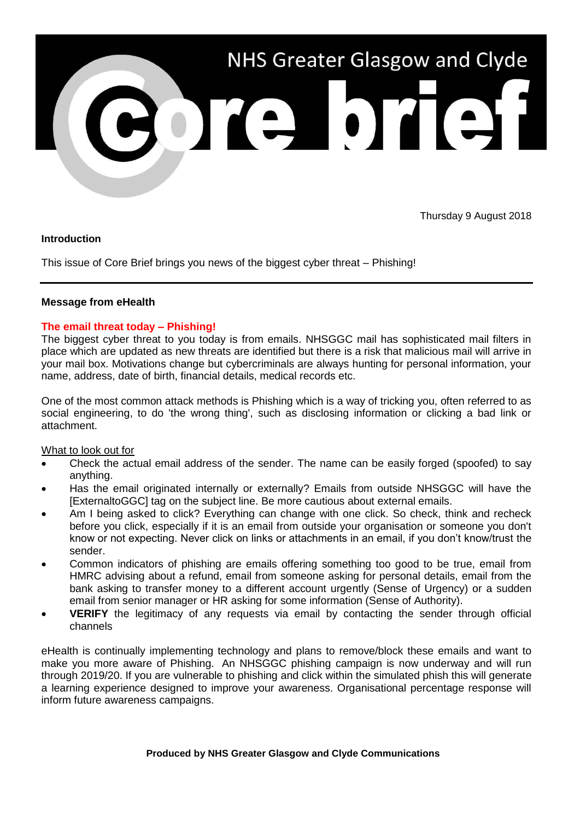

Thursday 9 August 2018

## **Introduction**

This issue of Core Brief brings you news of the biggest cyber threat – Phishing!

## **Message from eHealth**

## **The email threat today – Phishing!**

The biggest cyber threat to you today is from emails. NHSGGC mail has sophisticated mail filters in place which are updated as new threats are identified but there is a risk that malicious mail will arrive in your mail box. Motivations change but cybercriminals are always hunting for personal information, your name, address, date of birth, financial details, medical records etc.

One of the most common attack methods is Phishing which is a way of tricking you, often referred to as social engineering, to do 'the wrong thing', such as disclosing information or clicking a bad link or attachment.

What to look out for

- Check the actual email address of the sender. The name can be easily forged (spoofed) to say anything.
- Has the email originated internally or externally? Emails from outside NHSGGC will have the [ExternaltoGGC] tag on the subject line. Be more cautious about external emails.
- Am I being asked to click? Everything can change with one click. So check, think and recheck before you click, especially if it is an email from outside your organisation or someone you don't know or not expecting. Never click on links or attachments in an email, if you don't know/trust the sender.
- Common indicators of phishing are emails offering something too good to be true, email from HMRC advising about a refund, email from someone asking for personal details, email from the bank asking to transfer money to a different account urgently (Sense of Urgency) or a sudden email from senior manager or HR asking for some information (Sense of Authority).
- **VERIFY** the legitimacy of any requests via email by contacting the sender through official channels

eHealth is continually implementing technology and plans to remove/block these emails and want to make you more aware of Phishing. An NHSGGC phishing campaign is now underway and will run through 2019/20. If you are vulnerable to phishing and click within the simulated phish this will generate a learning experience designed to improve your awareness. Organisational percentage response will inform future awareness campaigns.